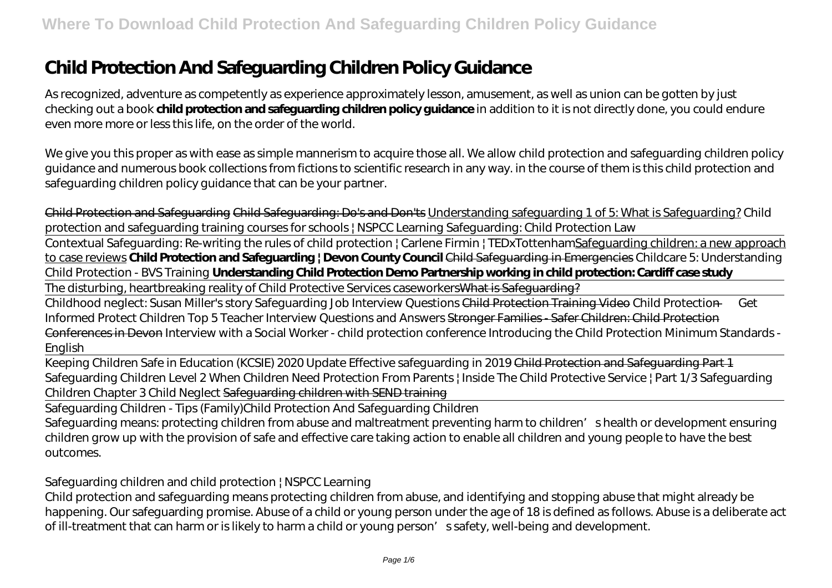# **Child Protection And Safeguarding Children Policy Guidance**

As recognized, adventure as competently as experience approximately lesson, amusement, as well as union can be gotten by just checking out a book **child protection and safeguarding children policy guidance** in addition to it is not directly done, you could endure even more more or less this life, on the order of the world.

We give you this proper as with ease as simple mannerism to acquire those all. We allow child protection and safeguarding children policy guidance and numerous book collections from fictions to scientific research in any way. in the course of them is this child protection and safeguarding children policy guidance that can be your partner.

Child Protection and Safeguarding Child Safeguarding: Do's and Don'ts Understanding safeguarding 1 of 5: What is Safeguarding? Child protection and safeguarding training courses for schools | NSPCC Learning Safeguarding: Child Protection Law

Contextual Safeguarding: Re-writing the rules of child protection | Carlene Firmin | TEDxTottenhamSafeguarding children: a new approach to case reviews **Child Protection and Safeguarding | Devon County Council** Child Safeguarding in Emergencies *Childcare 5: Understanding Child Protection - BVS Training* **Understanding Child Protection Demo Partnership working in child protection: Cardiff case study**

The disturbing, heartbreaking reality of Child Protective Services caseworkers What is Safeguarding?

Childhood neglect: Susan Miller's story Safeguarding Job Interview Questions Child Protection Training Video *Child Protection — Get Informed Protect Children Top 5 Teacher Interview Questions and Answers* Stronger Families - Safer Children: Child Protection Conferences in Devon *Interview with a Social Worker - child protection conference Introducing the Child Protection Minimum Standards - English*

Keeping Children Safe in Education (KCSIE) 2020 Update Effective safeguarding in 2019 Child Protection and Safeguarding Part 1 *Safeguarding Children Level 2 When Children Need Protection From Parents | Inside The Child Protective Service | Part 1/3 Safeguarding Children Chapter 3 Child Neglect* Safeguarding children with SEND training

Safeguarding Children - Tips (Family)*Child Protection And Safeguarding Children*

Safeguarding means: protecting children from abuse and maltreatment preventing harm to children's health or development ensuring children grow up with the provision of safe and effective care taking action to enable all children and young people to have the best outcomes.

#### *Safeguarding children and child protection | NSPCC Learning*

Child protection and safeguarding means protecting children from abuse, and identifying and stopping abuse that might already be happening. Our safeguarding promise. Abuse of a child or young person under the age of 18 is defined as follows. Abuse is a deliberate act of ill-treatment that can harm or is likely to harm a child or young person's safety, well-being and development.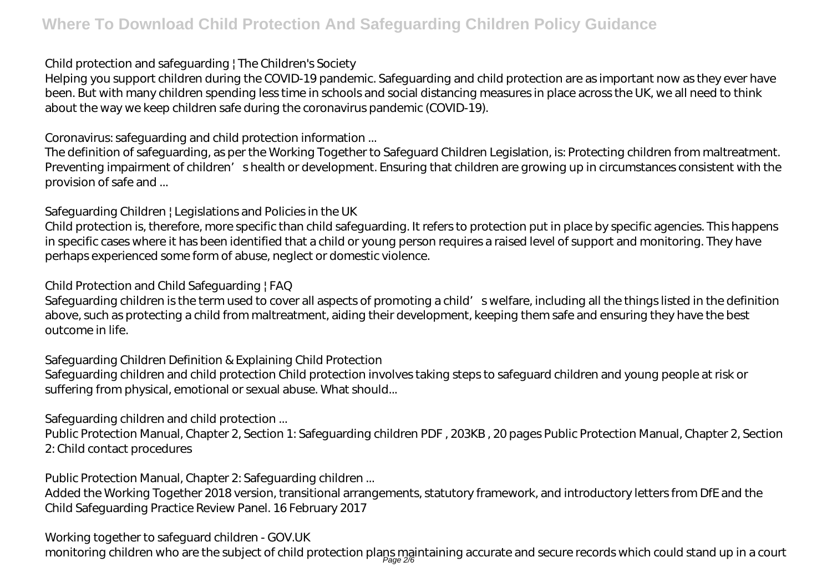## *Child protection and safeguarding | The Children's Society*

Helping you support children during the COVID-19 pandemic. Safeguarding and child protection are as important now as they ever have been. But with many children spending less time in schools and social distancing measures in place across the UK, we all need to think about the way we keep children safe during the coronavirus pandemic (COVID-19).

## *Coronavirus: safeguarding and child protection information ...*

The definition of safeguarding, as per the Working Together to Safeguard Children Legislation, is: Protecting children from maltreatment. Preventing impairment of children' shealth or development. Ensuring that children are growing up in circumstances consistent with the provision of safe and ...

# *Safeguarding Children | Legislations and Policies in the UK*

Child protection is, therefore, more specific than child safeguarding. It refers to protection put in place by specific agencies. This happens in specific cases where it has been identified that a child or young person requires a raised level of support and monitoring. They have perhaps experienced some form of abuse, neglect or domestic violence.

## *Child Protection and Child Safeguarding | FAQ*

Safeguarding children is the term used to cover all aspects of promoting a child' swelfare, including all the things listed in the definition above, such as protecting a child from maltreatment, aiding their development, keeping them safe and ensuring they have the best outcome in life.

# *Safeguarding Children Definition & Explaining Child Protection*

Safeguarding children and child protection Child protection involves taking steps to safeguard children and young people at risk or suffering from physical, emotional or sexual abuse. What should...

# *Safeguarding children and child protection ...*

Public Protection Manual, Chapter 2, Section 1: Safeguarding children PDF , 203KB , 20 pages Public Protection Manual, Chapter 2, Section 2: Child contact procedures

# *Public Protection Manual, Chapter 2: Safeguarding children ...*

Added the Working Together 2018 version, transitional arrangements, statutory framework, and introductory letters from DfE and the Child Safeguarding Practice Review Panel. 16 February 2017

## *Working together to safeguard children - GOV.UK*

monitoring children who are the subject of child protection plaps maintaining accurate and secure records which could stand up in a court<br>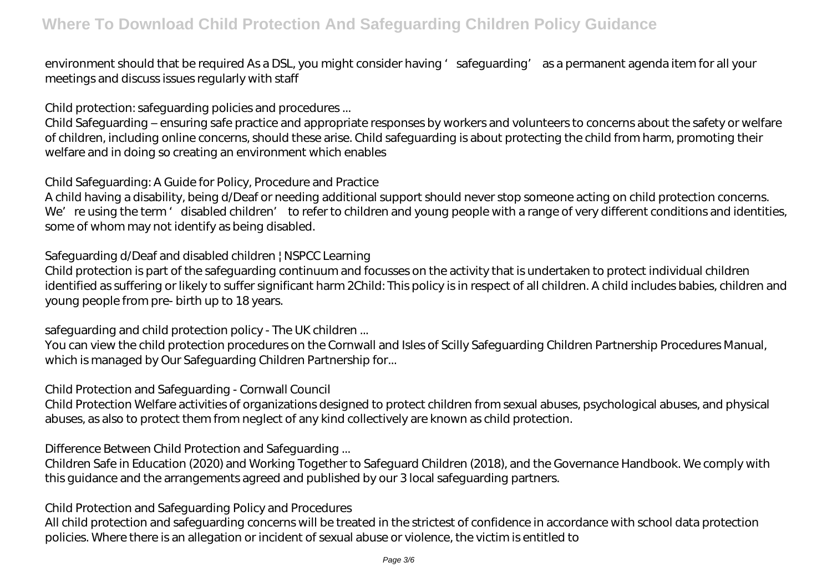environment should that be required As a DSL, you might consider having 'safeguarding' as a permanent agenda item for all your meetings and discuss issues regularly with staff

#### *Child protection: safeguarding policies and procedures ...*

Child Safeguarding – ensuring safe practice and appropriate responses by workers and volunteers to concerns about the safety or welfare of children, including online concerns, should these arise. Child safeguarding is about protecting the child from harm, promoting their welfare and in doing so creating an environment which enables

## *Child Safeguarding: A Guide for Policy, Procedure and Practice*

A child having a disability, being d/Deaf or needing additional support should never stop someone acting on child protection concerns. We're using the term 'disabled children' to refer to children and young people with a range of very different conditions and identities, some of whom may not identify as being disabled.

## *Safeguarding d/Deaf and disabled children | NSPCC Learning*

Child protection is part of the safeguarding continuum and focusses on the activity that is undertaken to protect individual children identified as suffering or likely to suffer significant harm 2Child: This policy is in respect of all children. A child includes babies, children and young people from pre- birth up to 18 years.

#### *safeguarding and child protection policy - The UK children ...*

You can view the child protection procedures on the Cornwall and Isles of Scilly Safeguarding Children Partnership Procedures Manual, which is managed by Our Safeguarding Children Partnership for...

#### *Child Protection and Safeguarding - Cornwall Council*

Child Protection Welfare activities of organizations designed to protect children from sexual abuses, psychological abuses, and physical abuses, as also to protect them from neglect of any kind collectively are known as child protection.

# *Difference Between Child Protection and Safeguarding ...*

Children Safe in Education (2020) and Working Together to Safeguard Children (2018), and the Governance Handbook. We comply with this guidance and the arrangements agreed and published by our 3 local safeguarding partners.

## *Child Protection and Safeguarding Policy and Procedures*

All child protection and safeguarding concerns will be treated in the strictest of confidence in accordance with school data protection policies. Where there is an allegation or incident of sexual abuse or violence, the victim is entitled to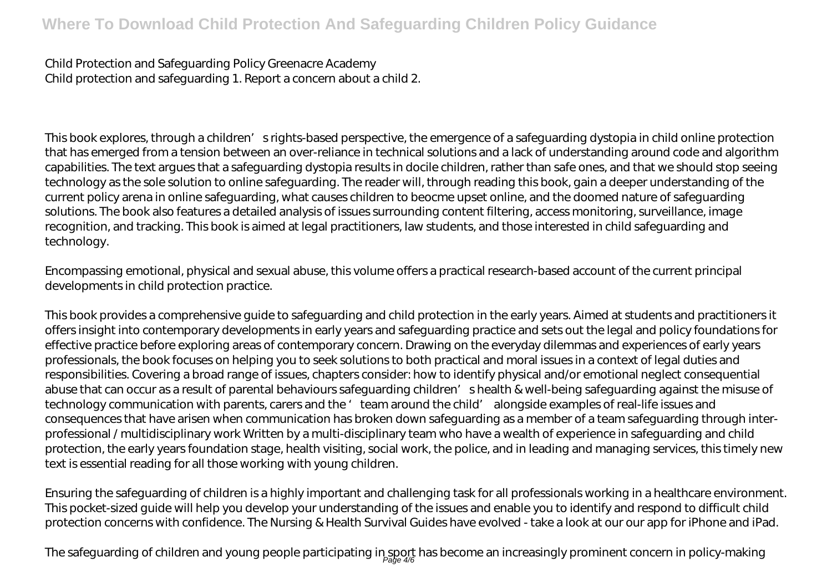*Child Protection and Safeguarding Policy Greenacre Academy* Child protection and safeguarding 1. Report a concern about a child 2.

This book explores, through a children' srights-based perspective, the emergence of a safeguarding dystopia in child online protection that has emerged from a tension between an over-reliance in technical solutions and a lack of understanding around code and algorithm capabilities. The text argues that a safeguarding dystopia results in docile children, rather than safe ones, and that we should stop seeing technology as the sole solution to online safeguarding. The reader will, through reading this book, gain a deeper understanding of the current policy arena in online safeguarding, what causes children to beocme upset online, and the doomed nature of safeguarding solutions. The book also features a detailed analysis of issues surrounding content filtering, access monitoring, surveillance, image recognition, and tracking. This book is aimed at legal practitioners, law students, and those interested in child safeguarding and technology.

Encompassing emotional, physical and sexual abuse, this volume offers a practical research-based account of the current principal developments in child protection practice.

This book provides a comprehensive guide to safeguarding and child protection in the early years. Aimed at students and practitioners it offers insight into contemporary developments in early years and safeguarding practice and sets out the legal and policy foundations for effective practice before exploring areas of contemporary concern. Drawing on the everyday dilemmas and experiences of early years professionals, the book focuses on helping you to seek solutions to both practical and moral issues in a context of legal duties and responsibilities. Covering a broad range of issues, chapters consider: how to identify physical and/or emotional neglect consequential abuse that can occur as a result of parental behaviours safeguarding children' shealth & well-being safeguarding against the misuse of technology communication with parents, carers and the 'team around the child' alongside examples of real-life issues and consequences that have arisen when communication has broken down safeguarding as a member of a team safeguarding through interprofessional / multidisciplinary work Written by a multi-disciplinary team who have a wealth of experience in safeguarding and child protection, the early years foundation stage, health visiting, social work, the police, and in leading and managing services, this timely new text is essential reading for all those working with young children.

Ensuring the safeguarding of children is a highly important and challenging task for all professionals working in a healthcare environment. This pocket-sized guide will help you develop your understanding of the issues and enable you to identify and respond to difficult child protection concerns with confidence. The Nursing & Health Survival Guides have evolved - take a look at our our app for iPhone and iPad.

The safeguarding of children and young people participating in sport has become an increasingly prominent concern in policy-making<br>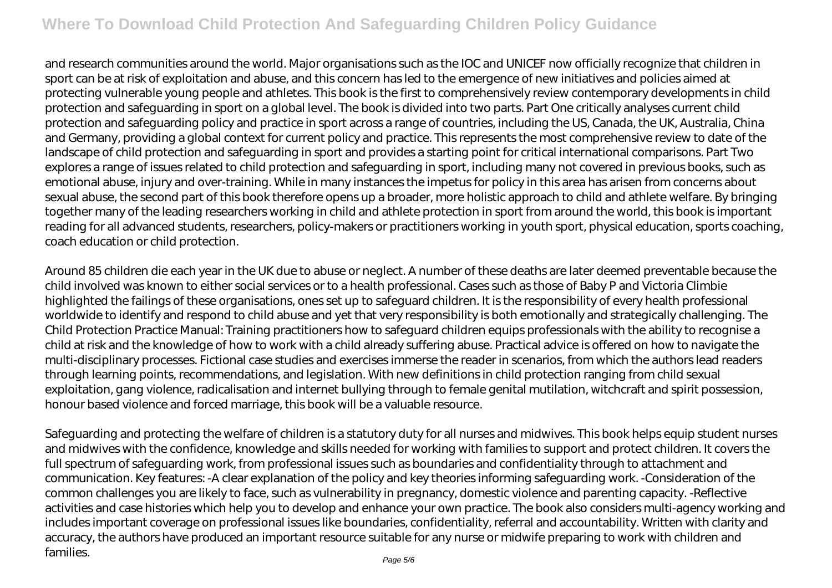and research communities around the world. Major organisations such as the IOC and UNICEF now officially recognize that children in sport can be at risk of exploitation and abuse, and this concern has led to the emergence of new initiatives and policies aimed at protecting vulnerable young people and athletes. This book is the first to comprehensively review contemporary developments in child protection and safeguarding in sport on a global level. The book is divided into two parts. Part One critically analyses current child protection and safeguarding policy and practice in sport across a range of countries, including the US, Canada, the UK, Australia, China and Germany, providing a global context for current policy and practice. This represents the most comprehensive review to date of the landscape of child protection and safeguarding in sport and provides a starting point for critical international comparisons. Part Two explores a range of issues related to child protection and safeguarding in sport, including many not covered in previous books, such as emotional abuse, injury and over-training. While in many instances the impetus for policy in this area has arisen from concerns about sexual abuse, the second part of this book therefore opens up a broader, more holistic approach to child and athlete welfare. By bringing together many of the leading researchers working in child and athlete protection in sport from around the world, this book is important reading for all advanced students, researchers, policy-makers or practitioners working in youth sport, physical education, sports coaching, coach education or child protection.

Around 85 children die each year in the UK due to abuse or neglect. A number of these deaths are later deemed preventable because the child involved was known to either social services or to a health professional. Cases such as those of Baby P and Victoria Climbie highlighted the failings of these organisations, ones set up to safeguard children. It is the responsibility of every health professional worldwide to identify and respond to child abuse and yet that very responsibility is both emotionally and strategically challenging. The Child Protection Practice Manual: Training practitioners how to safeguard children equips professionals with the ability to recognise a child at risk and the knowledge of how to work with a child already suffering abuse. Practical advice is offered on how to navigate the multi-disciplinary processes. Fictional case studies and exercises immerse the reader in scenarios, from which the authors lead readers through learning points, recommendations, and legislation. With new definitions in child protection ranging from child sexual exploitation, gang violence, radicalisation and internet bullying through to female genital mutilation, witchcraft and spirit possession, honour based violence and forced marriage, this book will be a valuable resource.

Safeguarding and protecting the welfare of children is a statutory duty for all nurses and midwives. This book helps equip student nurses and midwives with the confidence, knowledge and skills needed for working with families to support and protect children. It covers the full spectrum of safeguarding work, from professional issues such as boundaries and confidentiality through to attachment and communication. Key features: -A clear explanation of the policy and key theories informing safeguarding work. -Consideration of the common challenges you are likely to face, such as vulnerability in pregnancy, domestic violence and parenting capacity. -Reflective activities and case histories which help you to develop and enhance your own practice. The book also considers multi-agency working and includes important coverage on professional issues like boundaries, confidentiality, referral and accountability. Written with clarity and accuracy, the authors have produced an important resource suitable for any nurse or midwife preparing to work with children and families.